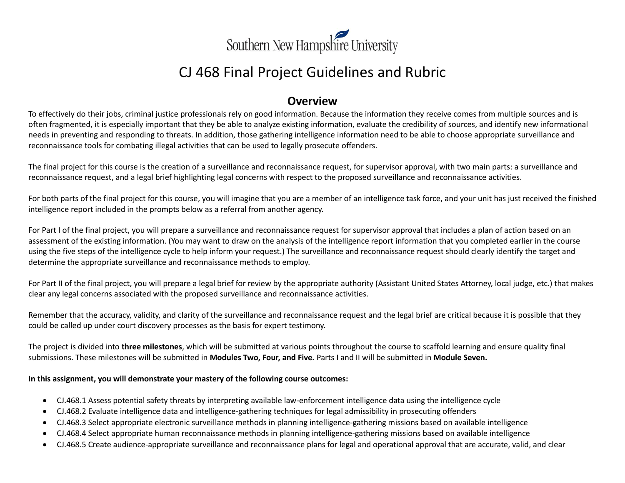

# CJ 468 Final Project Guidelines and Rubric

### **Overview**

To effectively do their jobs, criminal justice professionals rely on good information. Because the information they receive comes from multiple sources and is often fragmented, it is especially important that they be able to analyze existing information, evaluate the credibility of sources, and identify new informational needs in preventing and responding to threats. In addition, those gathering intelligence information need to be able to choose appropriate surveillance and reconnaissance tools for combating illegal activities that can be used to legally prosecute offenders.

The final project for this course is the creation of a surveillance and reconnaissance request, for supervisor approval, with two main parts: a surveillance and reconnaissance request, and a legal brief highlighting legal concerns with respect to the proposed surveillance and reconnaissance activities.

For both parts of the final project for this course, you will imagine that you are a member of an intelligence task force, and your unit has just received the finished intelligence report included in the prompts below as a referral from another agency.

For Part I of the final project, you will prepare a surveillance and reconnaissance request for supervisor approval that includes a plan of action based on an assessment of the existing information. (You may want to draw on the analysis of the intelligence report information that you completed earlier in the course using the five steps of the intelligence cycle to help inform your request.) The surveillance and reconnaissance request should clearly identify the target and determine the appropriate surveillance and reconnaissance methods to employ.

For Part II of the final project, you will prepare a legal brief for review by the appropriate authority (Assistant United States Attorney, local judge, etc.) that makes clear any legal concerns associated with the proposed surveillance and reconnaissance activities.

Remember that the accuracy, validity, and clarity of the surveillance and reconnaissance request and the legal brief are critical because it is possible that they could be called up under court discovery processes as the basis for expert testimony.

The project is divided into **three milestones**, which will be submitted at various points throughout the course to scaffold learning and ensure quality final submissions. These milestones will be submitted in **Modules Two, Four, and Five.** Parts I and II will be submitted in **Module Seven.**

#### **In this assignment, you will demonstrate your mastery of the following course outcomes:**

- CJ.468.1 Assess potential safety threats by interpreting available law-enforcement intelligence data using the intelligence cycle
- CJ.468.2 Evaluate intelligence data and intelligence-gathering techniques for legal admissibility in prosecuting offenders
- CJ.468.3 Select appropriate electronic surveillance methods in planning intelligence-gathering missions based on available intelligence
- CJ.468.4 Select appropriate human reconnaissance methods in planning intelligence-gathering missions based on available intelligence
- CJ.468.5 Create audience-appropriate surveillance and reconnaissance plans for legal and operational approval that are accurate, valid, and clear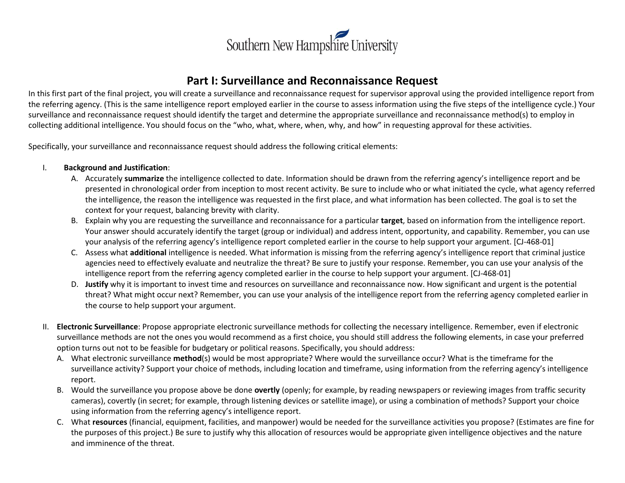

### **Part I: Surveillance and Reconnaissance Request**

In this first part of the final project, you will create a surveillance and reconnaissance request for supervisor approval using the provided intelligence report from the referring agency. (This is the same intelligence report employed earlier in the course to assess information using the five steps of the intelligence cycle.) Your surveillance and reconnaissance request should identify the target and determine the appropriate surveillance and reconnaissance method(s) to employ in collecting additional intelligence. You should focus on the "who, what, where, when, why, and how" in requesting approval for these activities.

Specifically, your surveillance and reconnaissance request should address the following critical elements:

#### I. **Background and Justification**:

- A. Accurately **summarize** the intelligence collected to date. Information should be drawn from the referring agency's intelligence report and be presented in chronological order from inception to most recent activity. Be sure to include who or what initiated the cycle, what agency referred the intelligence, the reason the intelligence was requested in the first place, and what information has been collected. The goal is to set the context for your request, balancing brevity with clarity.
- B. Explain why you are requesting the surveillance and reconnaissance for a particular **target**, based on information from the intelligence report. Your answer should accurately identify the target (group or individual) and address intent, opportunity, and capability. Remember, you can use your analysis of the referring agency's intelligence report completed earlier in the course to help support your argument. [CJ-468-01]
- C. Assess what **additional** intelligence is needed. What information is missing from the referring agency's intelligence report that criminal justice agencies need to effectively evaluate and neutralize the threat? Be sure to justify your response. Remember, you can use your analysis of the intelligence report from the referring agency completed earlier in the course to help support your argument. [CJ-468-01]
- D. **Justify** why it is important to invest time and resources on surveillance and reconnaissance now. How significant and urgent is the potential threat? What might occur next? Remember, you can use your analysis of the intelligence report from the referring agency completed earlier in the course to help support your argument.
- II. **Electronic Surveillance**: Propose appropriate electronic surveillance methods for collecting the necessary intelligence. Remember, even if electronic surveillance methods are not the ones you would recommend as a first choice, you should still address the following elements, in case your preferred option turns out not to be feasible for budgetary or political reasons. Specifically, you should address:
	- A. What electronic surveillance **method**(s) would be most appropriate? Where would the surveillance occur? What is the timeframe for the surveillance activity? Support your choice of methods, including location and timeframe, using information from the referring agency's intelligence report.
	- B. Would the surveillance you propose above be done **overtly** (openly; for example, by reading newspapers or reviewing images from traffic security cameras), covertly (in secret; for example, through listening devices or satellite image), or using a combination of methods? Support your choice using information from the referring agency's intelligence report.
	- C. What **resources** (financial, equipment, facilities, and manpower) would be needed for the surveillance activities you propose? (Estimates are fine for the purposes of this project.) Be sure to justify why this allocation of resources would be appropriate given intelligence objectives and the nature and imminence of the threat.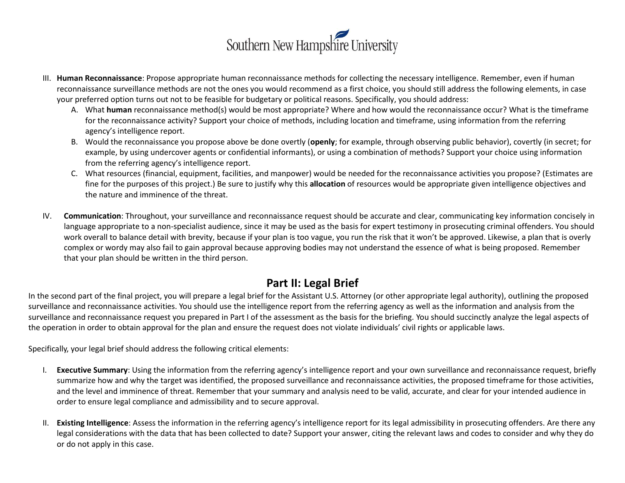

- III. **Human Reconnaissance**: Propose appropriate human reconnaissance methods for collecting the necessary intelligence. Remember, even if human reconnaissance surveillance methods are not the ones you would recommend as a first choice, you should still address the following elements, in case your preferred option turns out not to be feasible for budgetary or political reasons. Specifically, you should address:
	- A. What **human** reconnaissance method(s) would be most appropriate? Where and how would the reconnaissance occur? What is the timeframe for the reconnaissance activity? Support your choice of methods, including location and timeframe, using information from the referring agency's intelligence report.
	- B. Would the reconnaissance you propose above be done overtly (**openly**; for example, through observing public behavior), covertly (in secret; for example, by using undercover agents or confidential informants), or using a combination of methods? Support your choice using information from the referring agency's intelligence report.
	- C. What resources (financial, equipment, facilities, and manpower) would be needed for the reconnaissance activities you propose? (Estimates are fine for the purposes of this project.) Be sure to justify why this **allocation** of resources would be appropriate given intelligence objectives and the nature and imminence of the threat.
- IV. **Communication**: Throughout, your surveillance and reconnaissance request should be accurate and clear, communicating key information concisely in language appropriate to a non-specialist audience, since it may be used as the basis for expert testimony in prosecuting criminal offenders. You should work overall to balance detail with brevity, because if your plan is too vague, you run the risk that it won't be approved. Likewise, a plan that is overly complex or wordy may also fail to gain approval because approving bodies may not understand the essence of what is being proposed. Remember that your plan should be written in the third person.

# **Part II: Legal Brief**

In the second part of the final project, you will prepare a legal brief for the Assistant U.S. Attorney (or other appropriate legal authority), outlining the proposed surveillance and reconnaissance activities. You should use the intelligence report from the referring agency as well as the information and analysis from the surveillance and reconnaissance request you prepared in Part I of the assessment as the basis for the briefing. You should succinctly analyze the legal aspects of the operation in order to obtain approval for the plan and ensure the request does not violate individuals' civil rights or applicable laws.

Specifically, your legal brief should address the following critical elements:

- I. **Executive Summary**: Using the information from the referring agency's intelligence report and your own surveillance and reconnaissance request, briefly summarize how and why the target was identified, the proposed surveillance and reconnaissance activities, the proposed timeframe for those activities, and the level and imminence of threat. Remember that your summary and analysis need to be valid, accurate, and clear for your intended audience in order to ensure legal compliance and admissibility and to secure approval.
- II. **Existing Intelligence**: Assess the information in the referring agency's intelligence report for its legal admissibility in prosecuting offenders. Are there any legal considerations with the data that has been collected to date? Support your answer, citing the relevant laws and codes to consider and why they do or do not apply in this case.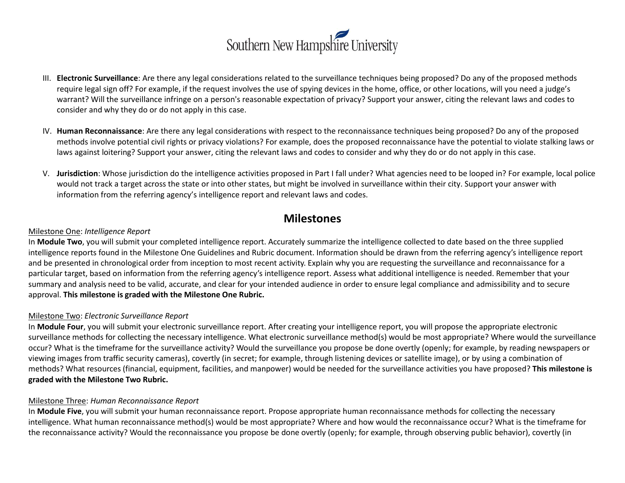

- III. **Electronic Surveillance**: Are there any legal considerations related to the surveillance techniques being proposed? Do any of the proposed methods require legal sign off? For example, if the request involves the use of spying devices in the home, office, or other locations, will you need a judge's warrant? Will the surveillance infringe on a person's reasonable expectation of privacy? Support your answer, citing the relevant laws and codes to consider and why they do or do not apply in this case.
- IV. **Human Reconnaissance**: Are there any legal considerations with respect to the reconnaissance techniques being proposed? Do any of the proposed methods involve potential civil rights or privacy violations? For example, does the proposed reconnaissance have the potential to violate stalking laws or laws against loitering? Support your answer, citing the relevant laws and codes to consider and why they do or do not apply in this case.
- V. **Jurisdiction**: Whose jurisdiction do the intelligence activities proposed in Part I fall under? What agencies need to be looped in? For example, local police would not track a target across the state or into other states, but might be involved in surveillance within their city. Support your answer with information from the referring agency's intelligence report and relevant laws and codes.

### **Milestones**

#### Milestone One: *Intelligence Report*

In **Module Two**, you will submit your completed intelligence report. Accurately summarize the intelligence collected to date based on the three supplied intelligence reports found in the Milestone One Guidelines and Rubric document. Information should be drawn from the referring agency's intelligence report and be presented in chronological order from inception to most recent activity. Explain why you are requesting the surveillance and reconnaissance for a particular target, based on information from the referring agency's intelligence report. Assess what additional intelligence is needed. Remember that your summary and analysis need to be valid, accurate, and clear for your intended audience in order to ensure legal compliance and admissibility and to secure approval. **This milestone is graded with the Milestone One Rubric.**

#### Milestone Two: *Electronic Surveillance Report*

In **Module Four**, you will submit your electronic surveillance report. After creating your intelligence report, you will propose the appropriate electronic surveillance methods for collecting the necessary intelligence. What electronic surveillance method(s) would be most appropriate? Where would the surveillance occur? What is the timeframe for the surveillance activity? Would the surveillance you propose be done overtly (openly; for example, by reading newspapers or viewing images from traffic security cameras), covertly (in secret; for example, through listening devices or satellite image), or by using a combination of methods? What resources (financial, equipment, facilities, and manpower) would be needed for the surveillance activities you have proposed? **This milestone is graded with the Milestone Two Rubric.** 

#### Milestone Three: *Human Reconnaissance Report*

In **Module Five**, you will submit your human reconnaissance report. Propose appropriate human reconnaissance methods for collecting the necessary intelligence. What human reconnaissance method(s) would be most appropriate? Where and how would the reconnaissance occur? What is the timeframe for the reconnaissance activity? Would the reconnaissance you propose be done overtly (openly; for example, through observing public behavior), covertly (in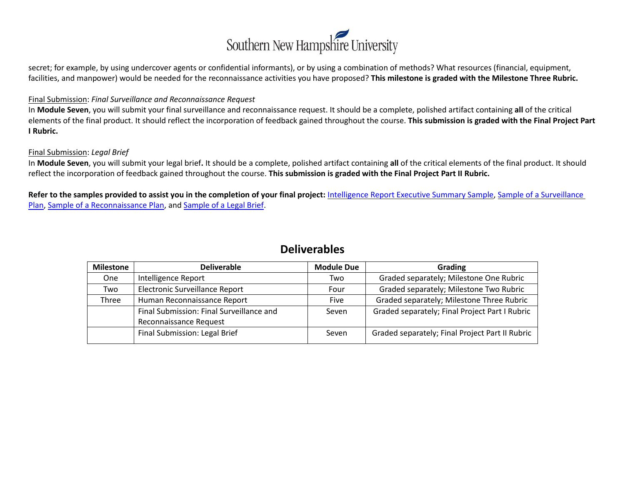

secret; for example, by using undercover agents or confidential informants), or by using a combination of methods? What resources (financial, equipment, facilities, and manpower) would be needed for the reconnaissance activities you have proposed? **This milestone is graded with the Milestone Three Rubric.**

#### Final Submission: *Final Surveillance and Reconnaissance Request*

In **Module Seven**, you will submit your final surveillance and reconnaissance request. It should be a complete, polished artifact containing **all** of the critical elements of the final product. It should reflect the incorporation of feedback gained throughout the course. **This submission is graded with the Final Project Part I Rubric.**

#### Final Submission: *Legal Brief*

In **Module Seven**, you will submit your legal brief**.** It should be a complete, polished artifact containing **all** of the critical elements of the final product. It should reflect the incorporation of feedback gained throughout the course. **This submission is graded with the Final Project Part II Rubric.**

**Refer to the samples provided to assist you in the completion of your final project:** [Intelligence Report Executive Summary Sample,](http://snhu-media.snhu.edu/files/course_repository/undergraduate/cj/cj468/cj468_intelligence_report_executive_summary_sample.docx) [Sample of a Surveillance](http://snhu-media.snhu.edu/files/course_repository/undergraduate/cj/cj468/cj468_sample_of_a_surveillance_plan.docx)  [Plan,](http://snhu-media.snhu.edu/files/course_repository/undergraduate/cj/cj468/cj468_sample_of_a_surveillance_plan.docx) [Sample of a Reconnaissance Plan,](http://snhu-media.snhu.edu/files/course_repository/undergraduate/cj/cj468/cj468_sample_of_a_reconnaissance_plan.docx) an[d Sample of a Legal Brief.](http://snhu-media.snhu.edu/files/course_repository/undergraduate/cj/cj468/cj468_sample_of_a_legal_brief.docx)

### **Deliverables**

| <b>Milestone</b> | <b>Deliverable</b>                       | <b>Module Due</b> | Grading                                         |
|------------------|------------------------------------------|-------------------|-------------------------------------------------|
| <b>One</b>       | Intelligence Report                      | Two               | Graded separately; Milestone One Rubric         |
| Two              | Electronic Surveillance Report           | Four              | Graded separately; Milestone Two Rubric         |
| Three            | Human Reconnaissance Report              | <b>Five</b>       | Graded separately; Milestone Three Rubric       |
|                  | Final Submission: Final Surveillance and | Seven             | Graded separately; Final Project Part I Rubric  |
|                  | Reconnaissance Request                   |                   |                                                 |
|                  | Final Submission: Legal Brief            | Seven             | Graded separately; Final Project Part II Rubric |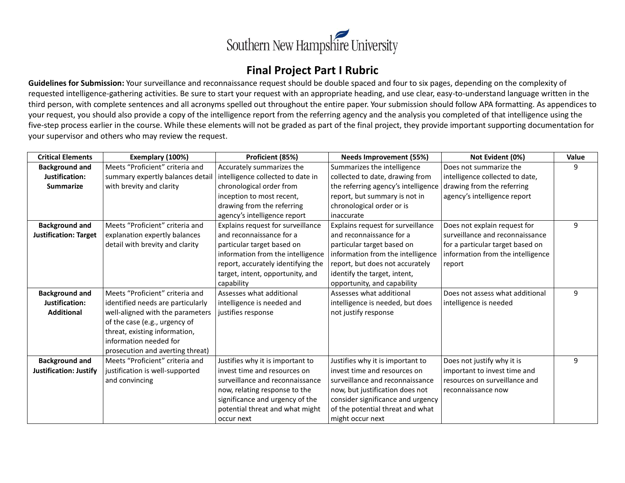

### **Final Project Part I Rubric**

**Guidelines for Submission:** Your surveillance and reconnaissance request should be double spaced and four to six pages, depending on the complexity of requested intelligence-gathering activities. Be sure to start your request with an appropriate heading, and use clear, easy-to-understand language written in the third person, with complete sentences and all acronyms spelled out throughout the entire paper. Your submission should follow APA formatting. As appendices to your request, you should also provide a copy of the intelligence report from the referring agency and the analysis you completed of that intelligence using the five-step process earlier in the course. While these elements will not be graded as part of the final project, they provide important supporting documentation for your supervisor and others who may review the request.

| <b>Critical Elements</b>     | Exemplary (100%)                  | Proficient (85%)                   | <b>Needs Improvement (55%)</b>      | Not Evident (0%)                  | Value |
|------------------------------|-----------------------------------|------------------------------------|-------------------------------------|-----------------------------------|-------|
| <b>Background and</b>        | Meets "Proficient" criteria and   | Accurately summarizes the          | Summarizes the intelligence         | Does not summarize the            | 9     |
| Justification:               | summary expertly balances detail  | intelligence collected to date in  | collected to date, drawing from     | intelligence collected to date,   |       |
| <b>Summarize</b>             | with brevity and clarity          | chronological order from           | the referring agency's intelligence | drawing from the referring        |       |
|                              |                                   | inception to most recent,          | report, but summary is not in       | agency's intelligence report      |       |
|                              |                                   | drawing from the referring         | chronological order or is           |                                   |       |
|                              |                                   | agency's intelligence report       | l inaccurate                        |                                   |       |
| <b>Background and</b>        | Meets "Proficient" criteria and   | Explains request for surveillance  | Explains request for surveillance   | Does not explain request for      | 9     |
| <b>Justification: Target</b> | explanation expertly balances     | and reconnaissance for a           | and reconnaissance for a            | surveillance and reconnaissance   |       |
|                              | detail with brevity and clarity   | particular target based on         | particular target based on          | for a particular target based on  |       |
|                              |                                   | information from the intelligence  | information from the intelligence   | information from the intelligence |       |
|                              |                                   | report, accurately identifying the | report, but does not accurately     | report                            |       |
|                              |                                   | target, intent, opportunity, and   | identify the target, intent,        |                                   |       |
|                              |                                   | capability                         | opportunity, and capability         |                                   |       |
| <b>Background and</b>        | Meets "Proficient" criteria and   | Assesses what additional           | Assesses what additional            | Does not assess what additional   | 9     |
| Justification:               | identified needs are particularly | intelligence is needed and         | intelligence is needed, but does    | intelligence is needed            |       |
| <b>Additional</b>            | well-aligned with the parameters  | justifies response                 | not justify response                |                                   |       |
|                              | of the case (e.g., urgency of     |                                    |                                     |                                   |       |
|                              | threat, existing information,     |                                    |                                     |                                   |       |
|                              | information needed for            |                                    |                                     |                                   |       |
|                              | prosecution and averting threat)  |                                    |                                     |                                   |       |
| <b>Background and</b>        | Meets "Proficient" criteria and   | Justifies why it is important to   | Justifies why it is important to    | Does not justify why it is        | 9     |
| Justification: Justify       | justification is well-supported   | invest time and resources on       | invest time and resources on        | important to invest time and      |       |
|                              | and convincing                    | surveillance and reconnaissance    | surveillance and reconnaissance     | resources on surveillance and     |       |
|                              |                                   | now, relating response to the      | now, but justification does not     | reconnaissance now                |       |
|                              |                                   | significance and urgency of the    | consider significance and urgency   |                                   |       |
|                              |                                   | potential threat and what might    | of the potential threat and what    |                                   |       |
|                              |                                   | occur next                         | might occur next                    |                                   |       |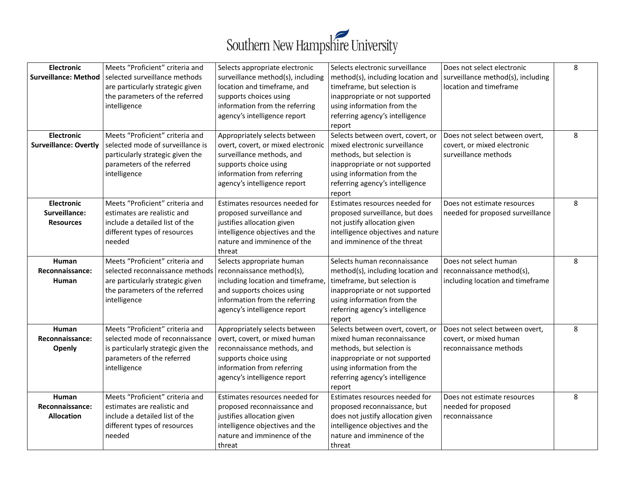

| <b>Electronic</b><br><b>Surveillance: Method</b><br><b>Electronic</b><br><b>Surveillance: Overtly</b> | Meets "Proficient" criteria and<br>selected surveillance methods<br>are particularly strategic given<br>the parameters of the referred<br>intelligence<br>Meets "Proficient" criteria and<br>selected mode of surveillance is<br>particularly strategic given the | Selects appropriate electronic<br>surveillance method(s), including<br>location and timeframe, and<br>supports choices using<br>information from the referring<br>agency's intelligence report<br>Appropriately selects between<br>overt, covert, or mixed electronic<br>surveillance methods, and | Selects electronic surveillance<br>method(s), including location and<br>timeframe, but selection is<br>inappropriate or not supported<br>using information from the<br>referring agency's intelligence<br>report<br>Selects between overt, covert, or<br>mixed electronic surveillance<br>methods, but selection is | Does not select electronic<br>surveillance method(s), including<br>location and timeframe<br>Does not select between overt,<br>covert, or mixed electronic<br>surveillance methods | 8<br>8 |
|-------------------------------------------------------------------------------------------------------|-------------------------------------------------------------------------------------------------------------------------------------------------------------------------------------------------------------------------------------------------------------------|----------------------------------------------------------------------------------------------------------------------------------------------------------------------------------------------------------------------------------------------------------------------------------------------------|---------------------------------------------------------------------------------------------------------------------------------------------------------------------------------------------------------------------------------------------------------------------------------------------------------------------|------------------------------------------------------------------------------------------------------------------------------------------------------------------------------------|--------|
|                                                                                                       | parameters of the referred<br>intelligence                                                                                                                                                                                                                        | supports choice using<br>information from referring<br>agency's intelligence report                                                                                                                                                                                                                | inappropriate or not supported<br>using information from the<br>referring agency's intelligence<br>report                                                                                                                                                                                                           |                                                                                                                                                                                    |        |
| <b>Electronic</b><br>Surveillance:<br><b>Resources</b>                                                | Meets "Proficient" criteria and<br>estimates are realistic and<br>include a detailed list of the<br>different types of resources<br>needed                                                                                                                        | Estimates resources needed for<br>proposed surveillance and<br>justifies allocation given<br>intelligence objectives and the<br>nature and imminence of the<br>threat                                                                                                                              | Estimates resources needed for<br>proposed surveillance, but does<br>not justify allocation given<br>intelligence objectives and nature<br>and imminence of the threat                                                                                                                                              | Does not estimate resources<br>needed for proposed surveillance                                                                                                                    | 8      |
| Human<br>Reconnaissance:<br>Human                                                                     | Meets "Proficient" criteria and<br>selected reconnaissance methods<br>are particularly strategic given<br>the parameters of the referred<br>intelligence                                                                                                          | Selects appropriate human<br>reconnaissance method(s),<br>including location and timeframe,<br>and supports choices using<br>information from the referring<br>agency's intelligence report                                                                                                        | Selects human reconnaissance<br>method(s), including location and<br>timeframe, but selection is<br>inappropriate or not supported<br>using information from the<br>referring agency's intelligence<br>report                                                                                                       | Does not select human<br>reconnaissance method(s),<br>including location and timeframe                                                                                             | 8      |
| Human<br>Reconnaissance:<br>Openly                                                                    | Meets "Proficient" criteria and<br>selected mode of reconnaissance<br>is particularly strategic given the<br>parameters of the referred<br>intelligence                                                                                                           | Appropriately selects between<br>overt, covert, or mixed human<br>reconnaissance methods, and<br>supports choice using<br>information from referring<br>agency's intelligence report                                                                                                               | Selects between overt, covert, or<br>mixed human reconnaissance<br>methods, but selection is<br>inappropriate or not supported<br>using information from the<br>referring agency's intelligence<br>report                                                                                                           | Does not select between overt,<br>covert, or mixed human<br>reconnaissance methods                                                                                                 | 8      |
| <b>Human</b><br>Reconnaissance:<br><b>Allocation</b>                                                  | Meets "Proficient" criteria and<br>estimates are realistic and<br>include a detailed list of the<br>different types of resources<br>needed                                                                                                                        | Estimates resources needed for<br>proposed reconnaissance and<br>justifies allocation given<br>intelligence objectives and the<br>nature and imminence of the<br>threat                                                                                                                            | Estimates resources needed for<br>proposed reconnaissance, but<br>does not justify allocation given<br>intelligence objectives and the<br>nature and imminence of the<br>threat                                                                                                                                     | Does not estimate resources<br>needed for proposed<br>reconnaissance                                                                                                               | 8      |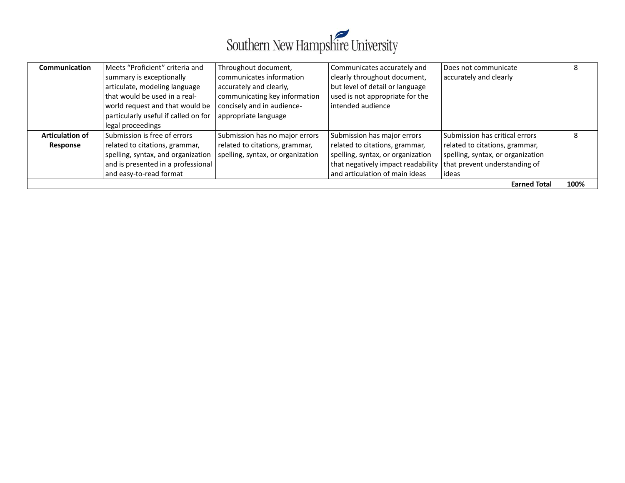

| Communication                      | Meets "Proficient" criteria and<br>summary is exceptionally<br>articulate, modeling language<br>that would be used in a real-<br>world request and that would be<br>particularly useful if called on for<br>legal proceedings | Throughout document,<br>communicates information<br>accurately and clearly,<br>communicating key information<br>concisely and in audience-<br>appropriate language | Communicates accurately and<br>clearly throughout document,<br>but level of detail or language<br>used is not appropriate for the<br>intended audience                     | Does not communicate<br>accurately and clearly                                                                                                  | 8    |
|------------------------------------|-------------------------------------------------------------------------------------------------------------------------------------------------------------------------------------------------------------------------------|--------------------------------------------------------------------------------------------------------------------------------------------------------------------|----------------------------------------------------------------------------------------------------------------------------------------------------------------------------|-------------------------------------------------------------------------------------------------------------------------------------------------|------|
| <b>Articulation of</b><br>Response | Submission is free of errors<br>related to citations, grammar,<br>spelling, syntax, and organization<br>and is presented in a professional<br>and easy-to-read format                                                         | Submission has no major errors<br>related to citations, grammar,<br>spelling, syntax, or organization                                                              | Submission has major errors<br>related to citations, grammar,<br>spelling, syntax, or organization<br>that negatively impact readability<br>and articulation of main ideas | Submission has critical errors<br>related to citations, grammar,<br>spelling, syntax, or organization<br>that prevent understanding of<br>ideas | 8    |
| <b>Earned Total</b>                |                                                                                                                                                                                                                               |                                                                                                                                                                    |                                                                                                                                                                            |                                                                                                                                                 | 100% |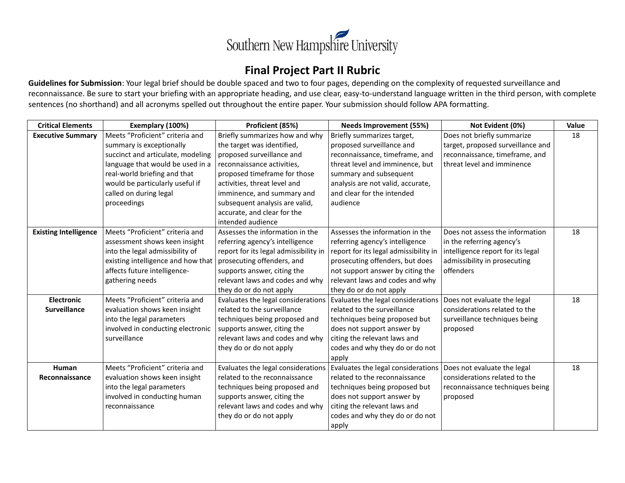

# **Final Project Part II Rubric**

**Guidelines for Submission**: Your legal brief should be double spaced and two to four pages, depending on the complexity of requested surveillance and reconnaissance. Be sure to start your briefing with an appropriate heading, and use clear, easy-to-understand language written in the third person, with complete sentences (no shorthand) and all acronyms spelled out throughout the entire paper. Your submission should follow APA formatting.

| <b>Critical Elements</b>     | Exemplary (100%)                   | Proficient (85%)                      | <b>Needs Improvement (55%)</b>        | Not Evident (0%)                  | Value |
|------------------------------|------------------------------------|---------------------------------------|---------------------------------------|-----------------------------------|-------|
| <b>Executive Summary</b>     | Meets "Proficient" criteria and    | Briefly summarizes how and why        | Briefly summarizes target,            | Does not briefly summarize        | 18    |
|                              | summary is exceptionally           | the target was identified,            | proposed surveillance and             | target, proposed surveillance and |       |
|                              | succinct and articulate, modeling  | proposed surveillance and             | reconnaissance, timeframe, and        | reconnaissance, timeframe, and    |       |
|                              | language that would be used in a   | reconnaissance activities,            | threat level and imminence, but       | threat level and imminence        |       |
|                              | real-world briefing and that       | proposed timeframe for those          | summary and subsequent                |                                   |       |
|                              | would be particularly useful if    | activities, threat level and          | analysis are not valid, accurate,     |                                   |       |
|                              | called on during legal             | imminence, and summary and            | and clear for the intended            |                                   |       |
|                              | proceedings                        | subsequent analysis are valid,        | audience                              |                                   |       |
|                              |                                    | accurate, and clear for the           |                                       |                                   |       |
|                              |                                    | intended audience                     |                                       |                                   |       |
| <b>Existing Intelligence</b> | Meets "Proficient" criteria and    | Assesses the information in the       | Assesses the information in the       | Does not assess the information   | 18    |
|                              | assessment shows keen insight      | referring agency's intelligence       | referring agency's intelligence       | in the referring agency's         |       |
|                              | into the legal admissibility of    | report for its legal admissibility in | report for its legal admissibility in | intelligence report for its legal |       |
|                              | existing intelligence and how that | prosecuting offenders, and            | prosecuting offenders, but does       | admissibility in prosecuting      |       |
|                              | affects future intelligence-       | supports answer, citing the           | not support answer by citing the      | offenders                         |       |
|                              | gathering needs                    | relevant laws and codes and why       | relevant laws and codes and why       |                                   |       |
|                              |                                    | they do or do not apply               | they do or do not apply               |                                   |       |
| <b>Electronic</b>            | Meets "Proficient" criteria and    | Evaluates the legal considerations    | Evaluates the legal considerations    | Does not evaluate the legal       | 18    |
| <b>Surveillance</b>          | evaluation shows keen insight      | related to the surveillance           | related to the surveillance           | considerations related to the     |       |
|                              | into the legal parameters          | techniques being proposed and         | techniques being proposed but         | surveillance techniques being     |       |
|                              | involved in conducting electronic  | supports answer, citing the           | does not support answer by            | proposed                          |       |
|                              | surveillance                       | relevant laws and codes and why       | citing the relevant laws and          |                                   |       |
|                              |                                    | they do or do not apply               | codes and why they do or do not       |                                   |       |
|                              |                                    |                                       | apply                                 |                                   |       |
| Human                        | Meets "Proficient" criteria and    | Evaluates the legal considerations    | Evaluates the legal considerations    | Does not evaluate the legal       | 18    |
| Reconnaissance               | evaluation shows keen insight      | related to the reconnaissance         | related to the reconnaissance         | considerations related to the     |       |
|                              | into the legal parameters          | techniques being proposed and         | techniques being proposed but         | reconnaissance techniques being   |       |
|                              | involved in conducting human       | supports answer, citing the           | does not support answer by            | proposed                          |       |
|                              | reconnaissance                     | relevant laws and codes and why       | citing the relevant laws and          |                                   |       |
|                              |                                    | they do or do not apply               | codes and why they do or do not       |                                   |       |
|                              |                                    |                                       | apply                                 |                                   |       |